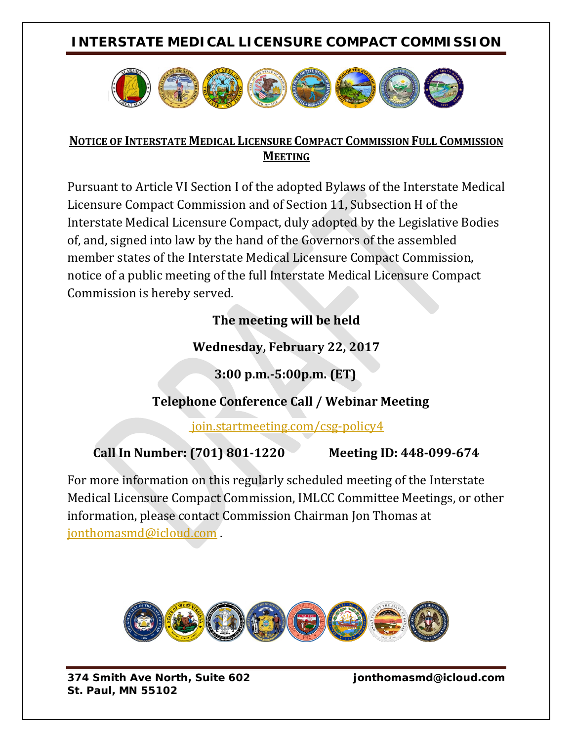## **INTERSTATE MEDICAL LICENSURE COMPACT COMMISSION**



#### **NOTICE OF INTERSTATE MEDICAL LICENSURE COMPACT COMMISSION FULL COMMISSION MEETING**

Pursuant to Article VI Section I of the adopted Bylaws of the Interstate Medical Licensure Compact Commission and of Section 11, Subsection H of the Interstate Medical Licensure Compact, duly adopted by the Legislative Bodies of, and, signed into law by the hand of the Governors of the assembled member states of the Interstate Medical Licensure Compact Commission, notice of a public meeting of the full Interstate Medical Licensure Compact Commission is hereby served.

### **The meeting will be held**

### **Wednesday, February 22, 2017**

 **3:00 p.m.-5:00p.m. (ET)**

### **Telephone Conference Call / Webinar Meeting**

join.startmeeting.com/csg-policy4

# **Call In Number: (701) 801-1220 Meeting ID: 448-099-674**

For more information on this regularly scheduled meeting of the Interstate Medical Licensure Compact Commission, IMLCC Committee Meetings, or other information, please contact Commission Chairman Jon Thomas at [jonthomasmd@icloud.com](mailto:jonthomasmd@icloud.com) .



*374 Smith Ave North, Suite 602 jonthomasmd@icloud.com St. Paul, MN 55102*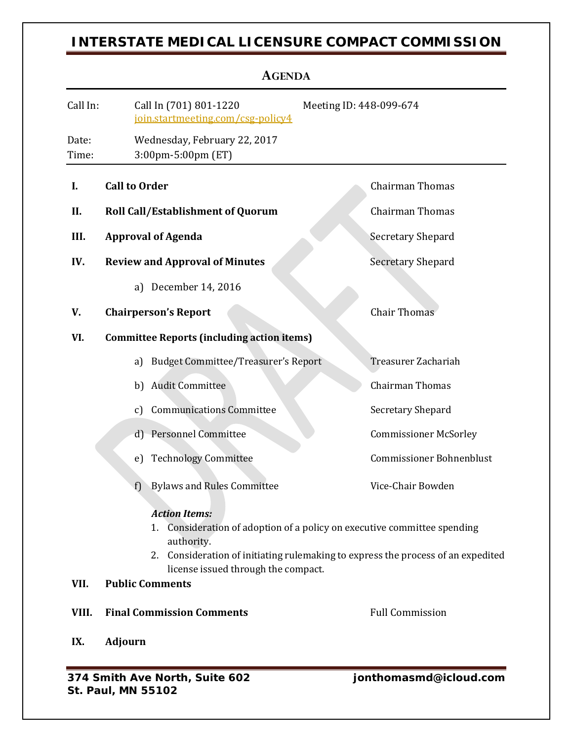## **INTERSTATE MEDICAL LICENSURE COMPACT COMMISSION**

| <b>AGENDA</b>  |                                                                                                                                                                                                                                                                           |                                 |
|----------------|---------------------------------------------------------------------------------------------------------------------------------------------------------------------------------------------------------------------------------------------------------------------------|---------------------------------|
| Call In:       | Call In (701) 801-1220<br>Meeting ID: 448-099-674<br>join.startmeeting.com/csg-policy4                                                                                                                                                                                    |                                 |
| Date:<br>Time: | Wednesday, February 22, 2017<br>3:00pm-5:00pm (ET)                                                                                                                                                                                                                        |                                 |
| I.             | <b>Call to Order</b>                                                                                                                                                                                                                                                      | <b>Chairman Thomas</b>          |
| II.            | <b>Roll Call/Establishment of Quorum</b>                                                                                                                                                                                                                                  | <b>Chairman Thomas</b>          |
| III.           | <b>Approval of Agenda</b>                                                                                                                                                                                                                                                 | Secretary Shepard               |
| IV.            | <b>Review and Approval of Minutes</b>                                                                                                                                                                                                                                     | <b>Secretary Shepard</b>        |
|                | a) December 14, 2016                                                                                                                                                                                                                                                      |                                 |
| V.             | <b>Chairperson's Report</b>                                                                                                                                                                                                                                               | <b>Chair Thomas</b>             |
| VI.            | <b>Committee Reports (including action items)</b>                                                                                                                                                                                                                         |                                 |
|                | <b>Budget Committee/Treasurer's Report</b><br>a)                                                                                                                                                                                                                          | Treasurer Zachariah             |
|                | <b>Audit Committee</b><br>b)                                                                                                                                                                                                                                              | <b>Chairman Thomas</b>          |
|                | <b>Communications Committee</b><br>$\mathbf{c}$                                                                                                                                                                                                                           | Secretary Shepard               |
|                | <b>Personnel Committee</b><br>$\mathbf{d}$                                                                                                                                                                                                                                | <b>Commissioner McSorley</b>    |
|                | <b>Technology Committee</b><br>e)                                                                                                                                                                                                                                         | <b>Commissioner Bohnenblust</b> |
|                | <b>Bylaws and Rules Committee</b><br>f                                                                                                                                                                                                                                    | Vice-Chair Bowden               |
| VII.           | <b>Action Items:</b><br>Consideration of adoption of a policy on executive committee spending<br>1.<br>authority.<br>Consideration of initiating rulemaking to express the process of an expedited<br>2.<br>license issued through the compact.<br><b>Public Comments</b> |                                 |
| VIII.          | <b>Final Commission Comments</b>                                                                                                                                                                                                                                          | <b>Full Commission</b>          |
| IX.            | <b>Adjourn</b>                                                                                                                                                                                                                                                            |                                 |
|                | 271 Smith Ave North Suite 602                                                                                                                                                                                                                                             | ionthomasmd@icloud.com          |

*374 Smith Ave North, Suite 602 jonthomasmd@icloud.com St. Paul, MN 55102*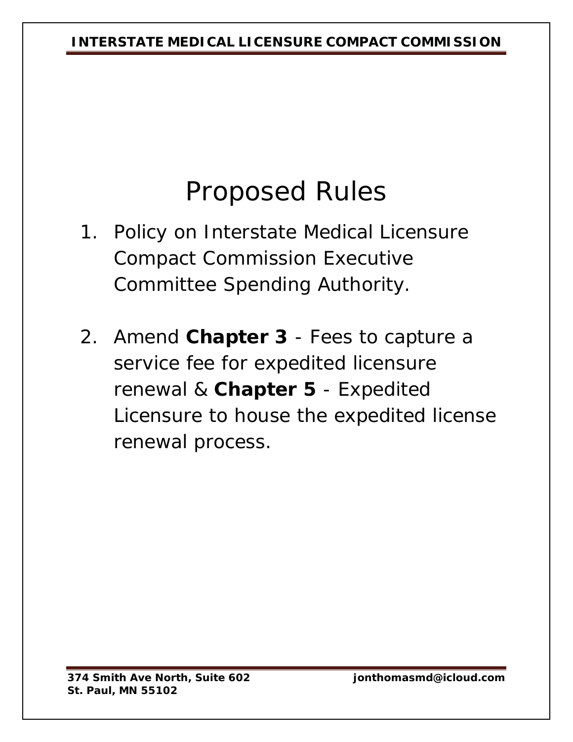# Proposed Rules

- 1. Policy on Interstate Medical Licensure Compact Commission Executive Committee Spending Authority.
- 2. Amend **Chapter 3** Fees to capture a service fee for expedited licensure renewal & **Chapter 5** - Expedited Licensure to house the expedited license renewal process.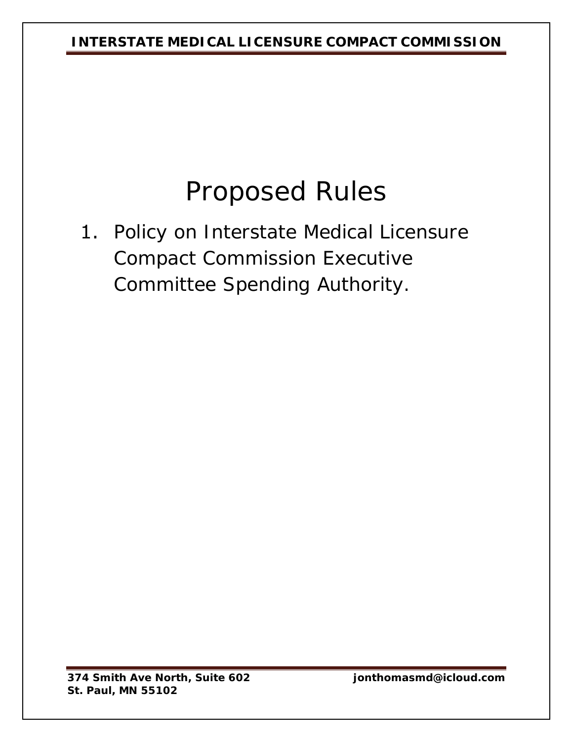**INTERSTATE MEDICAL LICENSURE COMPACT COMMISSION**

# Proposed Rules

1. Policy on Interstate Medical Licensure Compact Commission Executive Committee Spending Authority.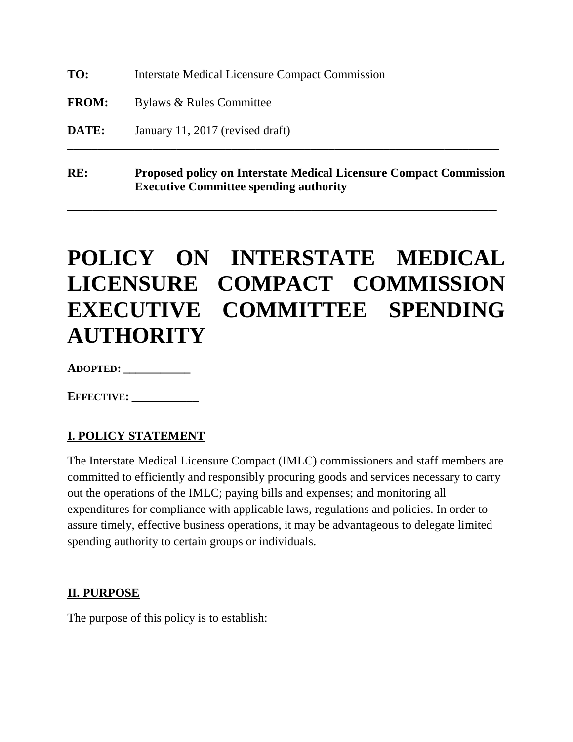**TO:** Interstate Medical Licensure Compact Commission

**FROM:** Bylaws & Rules Committee

**DATE:** January 11, 2017 (revised draft)

**RE: Proposed policy on Interstate Medical Licensure Compact Commission Executive Committee spending authority**

\_\_\_\_\_\_\_\_\_\_\_\_\_\_\_\_\_\_\_\_\_\_\_\_\_\_\_\_\_\_\_\_\_\_\_\_\_\_\_\_\_\_\_\_\_\_\_\_\_\_\_

\_\_\_\_\_\_\_\_\_\_\_\_\_\_\_\_\_\_\_\_\_\_\_\_\_\_\_\_\_\_\_\_\_\_\_\_\_\_\_\_\_\_\_\_\_\_\_\_\_\_\_\_\_\_\_\_\_\_\_\_\_\_\_\_\_\_\_\_\_\_\_

# **POLICY ON INTERSTATE MEDICAL LICENSURE COMPACT COMMISSION EXECUTIVE COMMITTEE SPENDING AUTHORITY**

**ADOPTED: \_\_\_\_\_\_\_\_\_\_\_**

**EFFECTIVE: \_\_\_\_\_\_\_\_\_\_\_**

#### **I. POLICY STATEMENT**

The Interstate Medical Licensure Compact (IMLC) commissioners and staff members are committed to efficiently and responsibly procuring goods and services necessary to carry out the operations of the IMLC; paying bills and expenses; and monitoring all expenditures for compliance with applicable laws, regulations and policies. In order to assure timely, effective business operations, it may be advantageous to delegate limited spending authority to certain groups or individuals.

#### **II. PURPOSE**

The purpose of this policy is to establish: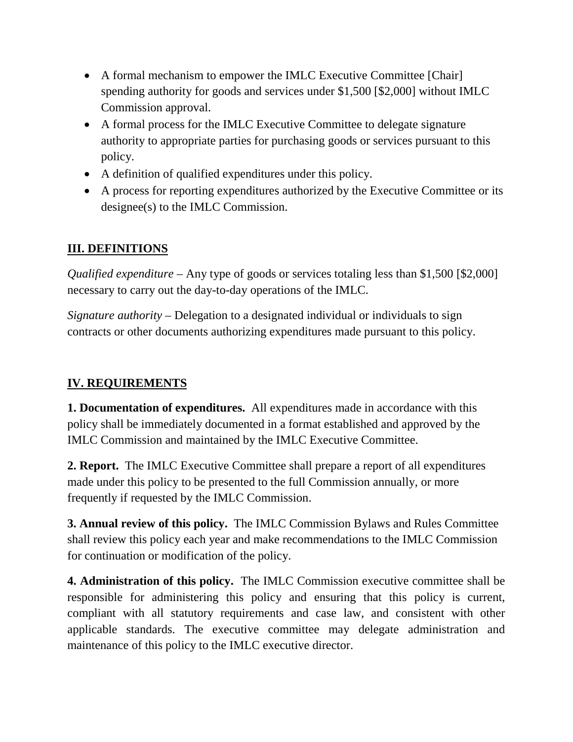- A formal mechanism to empower the IMLC Executive Committee [Chair] spending authority for goods and services under \$1,500 [\$2,000] without IMLC Commission approval.
- A formal process for the IMLC Executive Committee to delegate signature authority to appropriate parties for purchasing goods or services pursuant to this policy.
- A definition of qualified expenditures under this policy.
- A process for reporting expenditures authorized by the Executive Committee or its designee(s) to the IMLC Commission.

#### **III. DEFINITIONS**

*Qualified expenditure –* Any type of goods or services totaling less than \$1,500 [\$2,000] necessary to carry out the day-to-day operations of the IMLC.

*Signature authority –* Delegation to a designated individual or individuals to sign contracts or other documents authorizing expenditures made pursuant to this policy.

#### **IV. REQUIREMENTS**

**1. Documentation of expenditures.** All expenditures made in accordance with this policy shall be immediately documented in a format established and approved by the IMLC Commission and maintained by the IMLC Executive Committee.

**2. Report.** The IMLC Executive Committee shall prepare a report of all expenditures made under this policy to be presented to the full Commission annually, or more frequently if requested by the IMLC Commission.

**3. Annual review of this policy.** The IMLC Commission Bylaws and Rules Committee shall review this policy each year and make recommendations to the IMLC Commission for continuation or modification of the policy.

**4. Administration of this policy.** The IMLC Commission executive committee shall be responsible for administering this policy and ensuring that this policy is current, compliant with all statutory requirements and case law, and consistent with other applicable standards. The executive committee may delegate administration and maintenance of this policy to the IMLC executive director.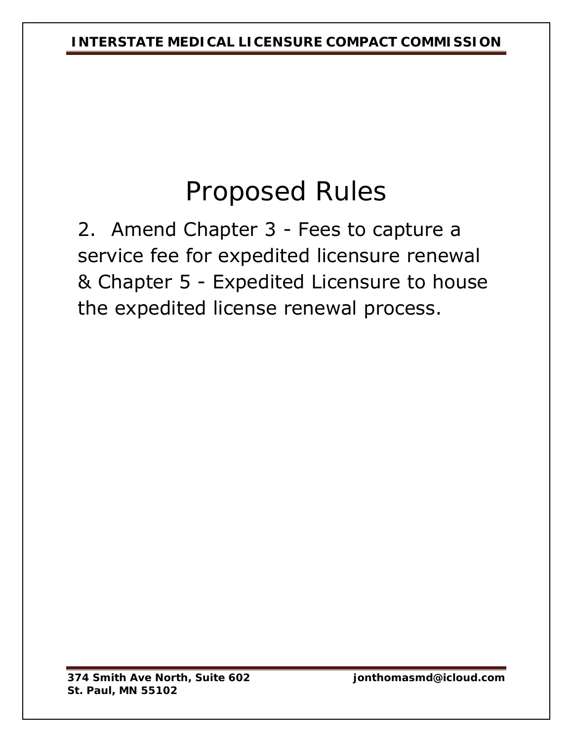# Proposed Rules

2. Amend Chapter 3 - Fees to capture a service fee for expedited licensure renewal & Chapter 5 - Expedited Licensure to house the expedited license renewal process.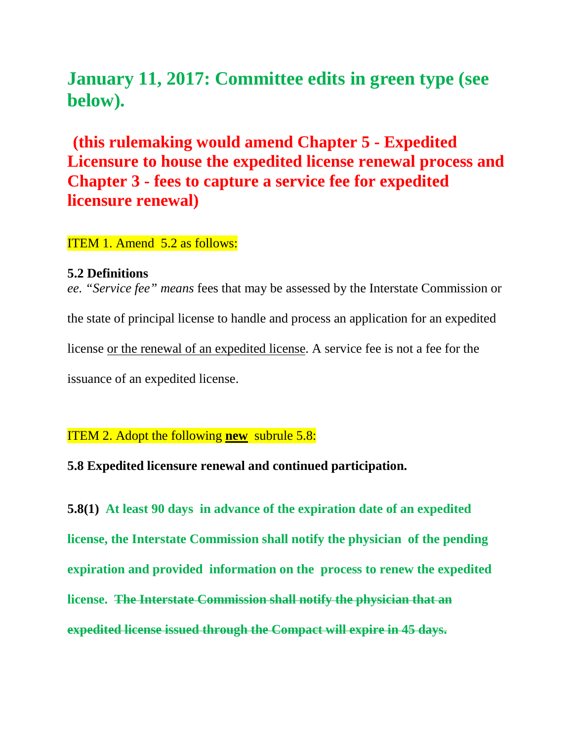# **January 11, 2017: Committee edits in green type (see below).**

# **(this rulemaking would amend Chapter 5 - Expedited Licensure to house the expedited license renewal process and Chapter 3 - fees to capture a service fee for expedited licensure renewal)**

#### ITEM 1. Amend 5.2 as follows:

#### **5.2 Definitions**

*ee. "Service fee" means* fees that may be assessed by the Interstate Commission or the state of principal license to handle and process an application for an expedited license or the renewal of an expedited license. A service fee is not a fee for the issuance of an expedited license.

ITEM 2. Adopt the following **new** subrule 5.8:

**5.8 Expedited licensure renewal and continued participation.**

**5.8(1) At least 90 days in advance of the expiration date of an expedited license, the Interstate Commission shall notify the physician of the pending expiration and provided information on the process to renew the expedited license. The Interstate Commission shall notify the physician that an expedited license issued through the Compact will expire in 45 days.**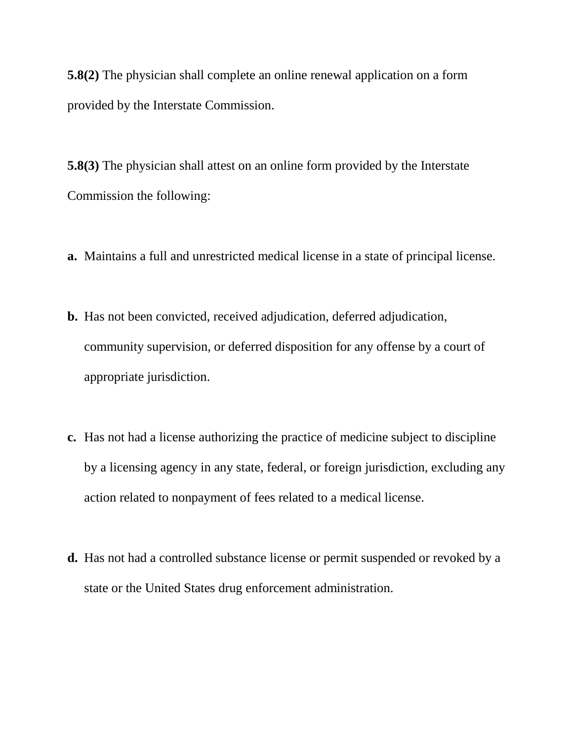**5.8(2)** The physician shall complete an online renewal application on a form provided by the Interstate Commission.

**5.8(3)** The physician shall attest on an online form provided by the Interstate Commission the following:

- **a.** Maintains a full and unrestricted medical license in a state of principal license.
- **b.** Has not been convicted, received adjudication, deferred adjudication, community supervision, or deferred disposition for any offense by a court of appropriate jurisdiction.
- **c.** Has not had a license authorizing the practice of medicine subject to discipline by a licensing agency in any state, federal, or foreign jurisdiction, excluding any action related to nonpayment of fees related to a medical license.
- **d.** Has not had a controlled substance license or permit suspended or revoked by a state or the United States drug enforcement administration.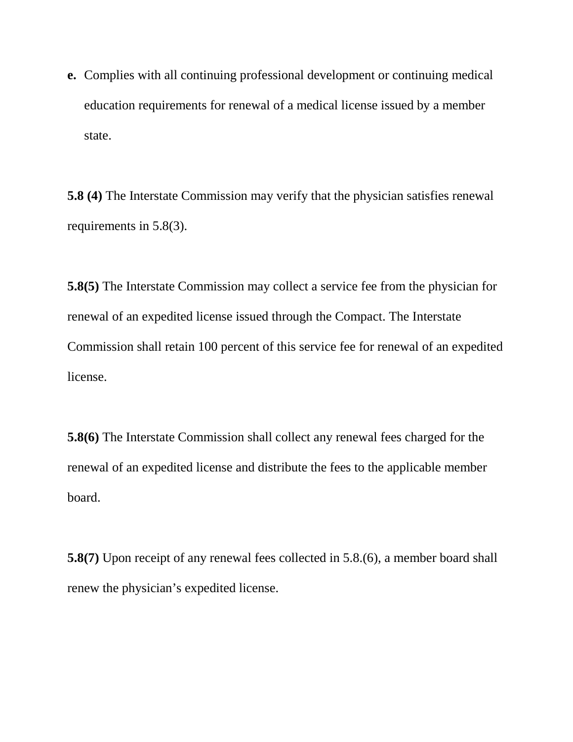**e.** Complies with all continuing professional development or continuing medical education requirements for renewal of a medical license issued by a member state.

**5.8 (4)** The Interstate Commission may verify that the physician satisfies renewal requirements in 5.8(3).

**5.8(5)** The Interstate Commission may collect a service fee from the physician for renewal of an expedited license issued through the Compact. The Interstate Commission shall retain 100 percent of this service fee for renewal of an expedited license.

**5.8(6)** The Interstate Commission shall collect any renewal fees charged for the renewal of an expedited license and distribute the fees to the applicable member board.

**5.8(7)** Upon receipt of any renewal fees collected in 5.8.(6), a member board shall renew the physician's expedited license.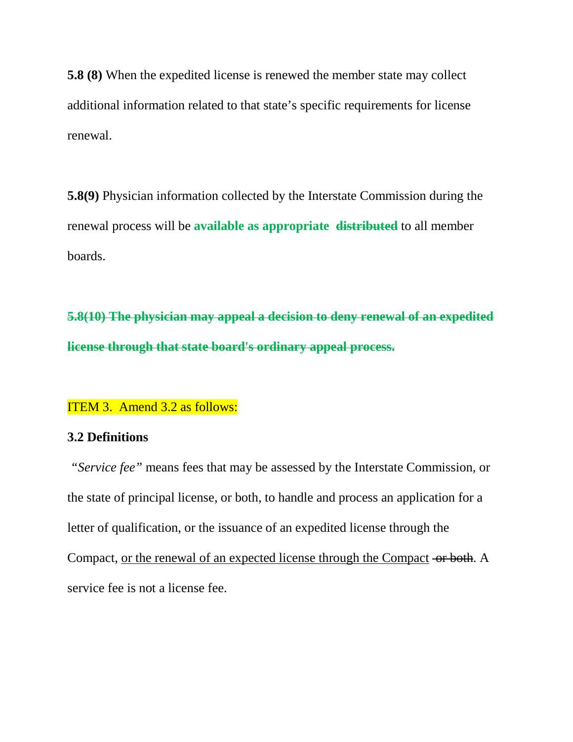**5.8 (8)** When the expedited license is renewed the member state may collect additional information related to that state's specific requirements for license renewal.

**5.8(9)** Physician information collected by the Interstate Commission during the renewal process will be **available as appropriate distributed** to all member boards.

**5.8(10) The physician may appeal a decision to deny renewal of an expedited license through that state board's ordinary appeal process.**

#### ITEM 3. Amend 3.2 as follows:

#### **3.2 Definitions**

*"Service fee"* means fees that may be assessed by the Interstate Commission, or the state of principal license, or both, to handle and process an application for a letter of qualification, or the issuance of an expedited license through the Compact, or the renewal of an expected license through the Compact or both. A service fee is not a license fee.